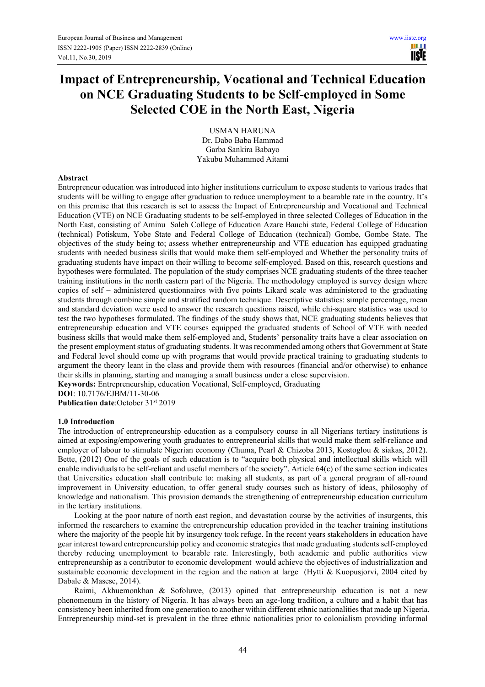ш **USIE** 

# **Impact of Entrepreneurship, Vocational and Technical Education on NCE Graduating Students to be Self-employed in Some Selected COE in the North East, Nigeria**

USMAN HARUNA Dr. Dabo Baba Hammad Garba Sankira Babayo Yakubu Muhammed Aitami

#### **Abstract**

Entrepreneur education was introduced into higher institutions curriculum to expose students to various trades that students will be willing to engage after graduation to reduce unemployment to a bearable rate in the country. It's on this premise that this research is set to assess the Impact of Entrepreneurship and Vocational and Technical Education (VTE) on NCE Graduating students to be self-employed in three selected Colleges of Education in the North East, consisting of Aminu Saleh College of Education Azare Bauchi state, Federal College of Education (technical) Potiskum, Yobe State and Federal College of Education (technical) Gombe, Gombe State. The objectives of the study being to; assess whether entrepreneurship and VTE education has equipped graduating students with needed business skills that would make them self-employed and Whether the personality traits of graduating students have impact on their willing to become self-employed. Based on this, research questions and hypotheses were formulated. The population of the study comprises NCE graduating students of the three teacher training institutions in the north eastern part of the Nigeria. The methodology employed is survey design where copies of self – administered questionnaires with five points Likard scale was administered to the graduating students through combine simple and stratified random technique. Descriptive statistics: simple percentage, mean and standard deviation were used to answer the research questions raised, while chi-square statistics was used to test the two hypotheses formulated. The findings of the study shows that, NCE graduating students believes that entrepreneurship education and VTE courses equipped the graduated students of School of VTE with needed business skills that would make them self-employed and, Students' personality traits have a clear association on the present employment status of graduating students. It was recommended among others that Government at State and Federal level should come up with programs that would provide practical training to graduating students to argument the theory leant in the class and provide them with resources (financial and/or otherwise) to enhance their skills in planning, starting and managing a small business under a close supervision.

**Keywords:** Entrepreneurship, education Vocational, Self-employed, Graduating **DOI**: 10.7176/EJBM/11-30-06

Publication date:October 31<sup>st</sup> 2019

#### **1.0 Introduction**

The introduction of entrepreneurship education as a compulsory course in all Nigerians tertiary institutions is aimed at exposing/empowering youth graduates to entrepreneurial skills that would make them self-reliance and employer of labour to stimulate Nigerian economy (Chuma, Pearl & Chizoba 2013, Kostoglou & siakas, 2012). Bette, (2012) One of the goals of such education is to "acquire both physical and intellectual skills which will enable individuals to be self-reliant and useful members of the society". Article 64(c) of the same section indicates that Universities education shall contribute to: making all students, as part of a general program of all-round improvement in University education, to offer general study courses such as history of ideas, philosophy of knowledge and nationalism. This provision demands the strengthening of entrepreneurship education curriculum in the tertiary institutions.

Looking at the poor nature of north east region, and devastation course by the activities of insurgents, this informed the researchers to examine the entrepreneurship education provided in the teacher training institutions where the majority of the people hit by insurgency took refuge. In the recent years stakeholders in education have gear interest toward entrepreneurship policy and economic strategies that made graduating students self-employed thereby reducing unemployment to bearable rate. Interestingly, both academic and public authorities view entrepreneurship as a contributor to economic development would achieve the objectives of industrialization and sustainable economic development in the region and the nation at large (Hytti & Kuopusjorvi, 2004 cited by Dabale & Masese, 2014).

Raimi, Akhuemonkhan & Sofoluwe, (2013) opined that entrepreneurship education is not a new phenomenum in the history of Nigeria. It has always been an age-long tradition, a culture and a habit that has consistency been inherited from one generation to another within different ethnic nationalities that made up Nigeria. Entrepreneurship mind-set is prevalent in the three ethnic nationalities prior to colonialism providing informal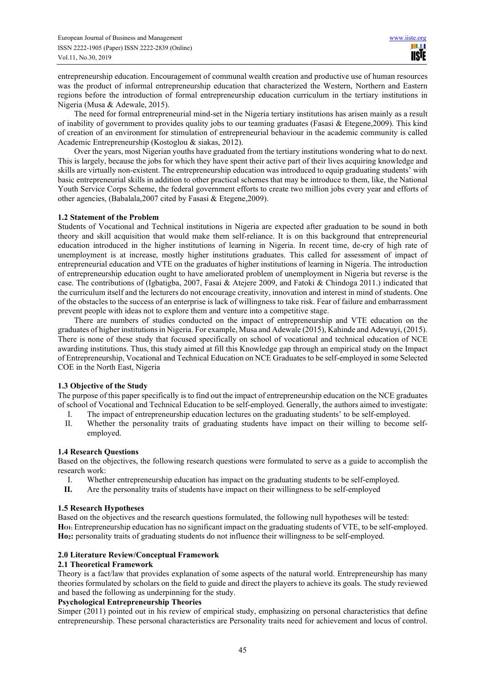entrepreneurship education. Encouragement of communal wealth creation and productive use of human resources was the product of informal entrepreneurship education that characterized the Western, Northern and Eastern regions before the introduction of formal entrepreneurship education curriculum in the tertiary institutions in Nigeria (Musa & Adewale, 2015).

The need for formal entrepreneurial mind-set in the Nigeria tertiary institutions has arisen mainly as a result of inability of government to provides quality jobs to our teaming graduates (Fasasi & Etegene,2009). This kind of creation of an environment for stimulation of entrepreneurial behaviour in the academic community is called Academic Entrepreneurship (Kostoglou & siakas, 2012).

Over the years, most Nigerian youths have graduated from the tertiary institutions wondering what to do next. This is largely, because the jobs for which they have spent their active part of their lives acquiring knowledge and skills are virtually non-existent. The entrepreneurship education was introduced to equip graduating students' with basic entrepreneurial skills in addition to other practical schemes that may be introduce to them, like, the National Youth Service Corps Scheme, the federal government efforts to create two million jobs every year and efforts of other agencies, (Babalala,2007 cited by Fasasi & Etegene,2009).

# **1.2 Statement of the Problem**

Students of Vocational and Technical institutions in Nigeria are expected after graduation to be sound in both theory and skill acquisition that would make them self-reliance. It is on this background that entrepreneurial education introduced in the higher institutions of learning in Nigeria. In recent time, de-cry of high rate of unemployment is at increase, mostly higher institutions graduates. This called for assessment of impact of entrepreneurial education and VTE on the graduates of higher institutions of learning in Nigeria. The introduction of entrepreneurship education ought to have ameliorated problem of unemployment in Nigeria but reverse is the case. The contributions of (Igbatigba, 2007, Fasai & Atejere 2009, and Fatoki & Chindoga 2011.) indicated that the curriculum itself and the lecturers do not encourage creativity, innovation and interest in mind of students. One of the obstacles to the success of an enterprise is lack of willingness to take risk. Fear of failure and embarrassment prevent people with ideas not to explore them and venture into a competitive stage.

There are numbers of studies conducted on the impact of entrepreneurship and VTE education on the graduates of higher institutions in Nigeria. For example, Musa and Adewale (2015), Kahinde and Adewuyi, (2015). There is none of these study that focused specifically on school of vocational and technical education of NCE awarding institutions. Thus, this study aimed at fill this Knowledge gap through an empirical study on the Impact of Entrepreneurship, Vocational and Technical Education on NCE Graduates to be self-employed in some Selected COE in the North East, Nigeria

# **1.3 Objective of the Study**

The purpose of this paper specifically is to find out the impact of entrepreneurship education on the NCE graduates of school of Vocational and Technical Education to be self-employed. Generally, the authors aimed to investigate:

- I. The impact of entrepreneurship education lectures on the graduating students' to be self-employed.
- II. Whether the personality traits of graduating students have impact on their willing to become selfemployed.

# **1.4 Research Questions**

Based on the objectives, the following research questions were formulated to serve as a guide to accomplish the research work:

- I. Whether entrepreneurship education has impact on the graduating students to be self-employed.<br>II. Are the personality traits of students have impact on their willingness to be self-employed
- Are the personality traits of students have impact on their willingness to be self-employed

# **1.5 Research Hypotheses**

Based on the objectives and the research questions formulated, the following null hypotheses will be tested: **HO1:** Entrepreneurship education has no significant impact on the graduating students of VTE, to be self-employed. **Ho2:** personality traits of graduating students do not influence their willingness to be self-employed.

# **2.0 Literature Review/Conceptual Framework**

#### **2.1 Theoretical Framework**

Theory is a fact/law that provides explanation of some aspects of the natural world. Entrepreneurship has many theories formulated by scholars on the field to guide and direct the players to achieve its goals. The study reviewed and based the following as underpinning for the study.

#### **Psychological Entrepreneurship Theories**

Simper (2011) pointed out in his review of empirical study, emphasizing on personal characteristics that define entrepreneurship. These personal characteristics are Personality traits need for achievement and locus of control.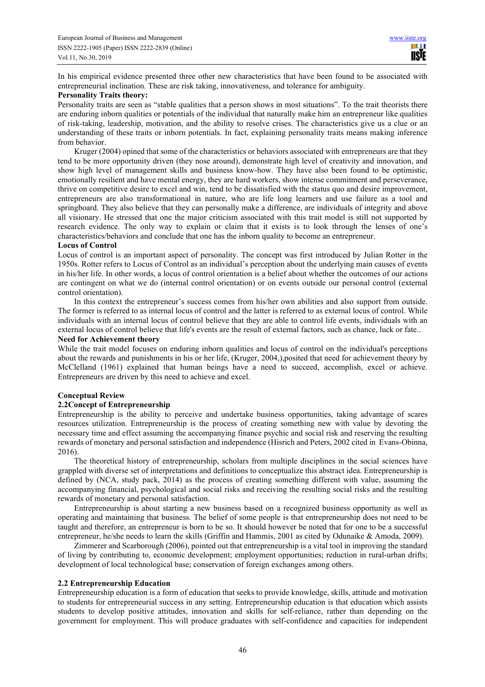In his empirical evidence presented three other new characteristics that have been found to be associated with entrepreneurial inclination. These are risk taking, innovativeness, and tolerance for ambiguity.

#### **Personality Traits theory:**

Personality traits are seen as "stable qualities that a person shows in most situations". To the trait theorists there are enduring inborn qualities or potentials of the individual that naturally make him an entrepreneur like qualities of risk-taking, leadership, motivation, and the ability to resolve crises. The characteristics give us a clue or an understanding of these traits or inborn potentials. In fact, explaining personality traits means making inference from behavior.

Kruger (2004) opined that some of the characteristics or behaviors associated with entrepreneurs are that they tend to be more opportunity driven (they nose around), demonstrate high level of creativity and innovation, and show high level of management skills and business know-how. They have also been found to be optimistic, emotionally resilient and have mental energy, they are hard workers, show intense commitment and perseverance, thrive on competitive desire to excel and win, tend to be dissatisfied with the status quo and desire improvement, entrepreneurs are also transformational in nature, who are life long learners and use failure as a tool and springboard. They also believe that they can personally make a difference, are individuals of integrity and above all visionary. He stressed that one the major criticism associated with this trait model is still not supported by research evidence. The only way to explain or claim that it exists is to look through the lenses of one's characteristics/behaviors and conclude that one has the inborn quality to become an entrepreneur.

# **Locus of Control**

Locus of control is an important aspect of personality. The concept was first introduced by Julian Rotter in the 1950s. Rotter refers to Locus of Control as an individual's perception about the underlying main causes of events in his/her life. In other words, a locus of control orientation is a belief about whether the outcomes of our actions are contingent on what we do (internal control orientation) or on events outside our personal control (external control orientation).

In this context the entrepreneur's success comes from his/her own abilities and also support from outside. The former is referred to as internal locus of control and the latter is referred to as external locus of control. While individuals with an internal locus of control believe that they are able to control life events, individuals with an external locus of control believe that life's events are the result of external factors, such as chance, luck or fate..

#### **Need for Achievement theory**

While the trait model focuses on enduring inborn qualities and locus of control on the individual's perceptions about the rewards and punishments in his or her life, (Kruger, 2004,),posited that need for achievement theory by McClelland (1961) explained that human beings have a need to succeed, accomplish, excel or achieve. Entrepreneurs are driven by this need to achieve and excel.

# **Conceptual Review**

# **2.2Concept of Entrepreneurship**

Entrepreneurship is the ability to perceive and undertake business opportunities, taking advantage of scares resources utilization. Entrepreneurship is the process of creating something new with value by devoting the necessary time and effect assuming the accompanying finance psychic and social risk and reserving the resulting rewards of monetary and personal satisfaction and independence (Hisrich and Peters, 2002 cited in Evans-Obinna, 2016).

The theoretical history of entrepreneurship, scholars from multiple disciplines in the social sciences have grappled with diverse set of interpretations and definitions to conceptualize this abstract idea. Entrepreneurship is defined by (NCA, study pack, 2014) as the process of creating something different with value, assuming the accompanying financial, psychological and social risks and receiving the resulting social risks and the resulting rewards of monetary and personal satisfaction.

Entrepreneurship is about starting a new business based on a recognized business opportunity as well as operating and maintaining that business. The belief of some people is that entrepreneurship does not need to be taught and therefore, an entrepreneur is born to be so. It should however be noted that for one to be a successful entrepreneur, he/she needs to learn the skills (Griffin and Hammis, 2001 as cited by Odunaike & Amoda, 2009).

Zimmerer and Scarborough (2006), pointed out that entrepreneurship is a vital tool in improving the standard of living by contributing to, economic development; employment opportunities; reduction in rural-urban drifts; development of local technological base; conservation of foreign exchanges among others.

# **2.2 Entrepreneurship Education**

Entrepreneurship education is a form of education that seeks to provide knowledge, skills, attitude and motivation to students for entrepreneurial success in any setting. Entrepreneurship education is that education which assists students to develop positive attitudes, innovation and skills for self-reliance, rather than depending on the government for employment. This will produce graduates with self-confidence and capacities for independent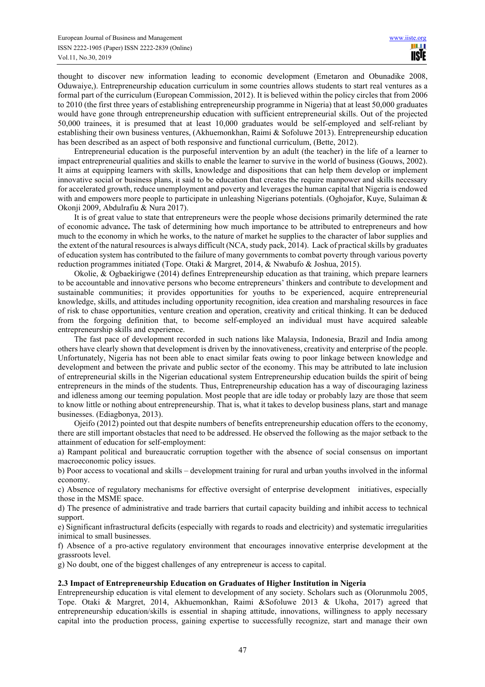thought to discover new information leading to economic development (Emetaron and Obunadike 2008, Oduwaiye,). Entrepreneurship education curriculum in some countries allows students to start real ventures as a formal part of the curriculum (European Commission, 2012). It is believed within the policy circles that from 2006 to 2010 (the first three years of establishing entrepreneurship programme in Nigeria) that at least 50,000 graduates would have gone through entrepreneurship education with sufficient entrepreneurial skills. Out of the projected 50,000 trainees, it is presumed that at least 10,000 graduates would be self-employed and self-reliant by establishing their own business ventures, (Akhuemonkhan, Raimi & Sofoluwe 2013). Entrepreneurship education has been described as an aspect of both responsive and functional curriculum, (Bette, 2012).

Entrepreneurial education is the purposeful intervention by an adult (the teacher) in the life of a learner to impact entrepreneurial qualities and skills to enable the learner to survive in the world of business (Gouws, 2002). It aims at equipping learners with skills, knowledge and dispositions that can help them develop or implement innovative social or business plans, it said to be education that creates the require manpower and skills necessary for accelerated growth, reduce unemployment and poverty and leverages the human capital that Nigeria is endowed with and empowers more people to participate in unleashing Nigerians potentials. (Oghojafor, Kuye, Sulaiman & Okonji 2009, Abdulrafiu & Nura 2017).

It is of great value to state that entrepreneurs were the people whose decisions primarily determined the rate of economic advance**.** The task of determining how much importance to be attributed to entrepreneurs and how much to the economy in which he works, to the nature of market he supplies to the character of labor supplies and the extent of the natural resources is always difficult (NCA, study pack, 2014). Lack of practical skills by graduates of education system has contributed to the failure of many governments to combat poverty through various poverty reduction programmes initiated (Tope. Otaki & Margret, 2014, & Nwabufo & Joshua, 2015).

Okolie, & Ogbaekirigwe (2014) defines Entrepreneurship education as that training, which prepare learners to be accountable and innovative persons who become entrepreneurs' thinkers and contribute to development and sustainable communities; it provides opportunities for youths to be experienced, acquire entrepreneurial knowledge, skills, and attitudes including opportunity recognition, idea creation and marshaling resources in face of risk to chase opportunities, venture creation and operation, creativity and critical thinking. It can be deduced from the forgoing definition that, to become self-employed an individual must have acquired saleable entrepreneurship skills and experience.

The fast pace of development recorded in such nations like Malaysia, Indonesia, Brazil and India among others have clearly shown that development is driven by the innovativeness, creativity and enterprise of the people. Unfortunately, Nigeria has not been able to enact similar feats owing to poor linkage between knowledge and development and between the private and public sector of the economy. This may be attributed to late inclusion of entrepreneurial skills in the Nigerian educational system Entrepreneurship education builds the spirit of being entrepreneurs in the minds of the students. Thus, Entrepreneurship education has a way of discouraging laziness and idleness among our teeming population. Most people that are idle today or probably lazy are those that seem to know little or nothing about entrepreneurship. That is, what it takes to develop business plans, start and manage businesses. (Ediagbonya, 2013).

Ojeifo (2012) pointed out that despite numbers of benefits entrepreneurship education offers to the economy, there are still important obstacles that need to be addressed. He observed the following as the major setback to the attainment of education for self-employment:

a) Rampant political and bureaucratic corruption together with the absence of social consensus on important macroeconomic policy issues.

b) Poor access to vocational and skills – development training for rural and urban youths involved in the informal economy.

c) Absence of regulatory mechanisms for effective oversight of enterprise development initiatives, especially those in the MSME space.

d) The presence of administrative and trade barriers that curtail capacity building and inhibit access to technical support.

e) Significant infrastructural deficits (especially with regards to roads and electricity) and systematic irregularities inimical to small businesses.

f) Absence of a pro-active regulatory environment that encourages innovative enterprise development at the grassroots level.

g) No doubt, one of the biggest challenges of any entrepreneur is access to capital.

#### **2.3 Impact of Entrepreneurship Education on Graduates of Higher Institution in Nigeria**

Entrepreneurship education is vital element to development of any society. Scholars such as (Olorunmolu 2005, Tope. Otaki & Margret, 2014, Akhuemonkhan, Raimi &Sofoluwe 2013 & Ukoha, 2017) agreed that entrepreneurship education/skills is essential in shaping attitude, innovations, willingness to apply necessary capital into the production process, gaining expertise to successfully recognize, start and manage their own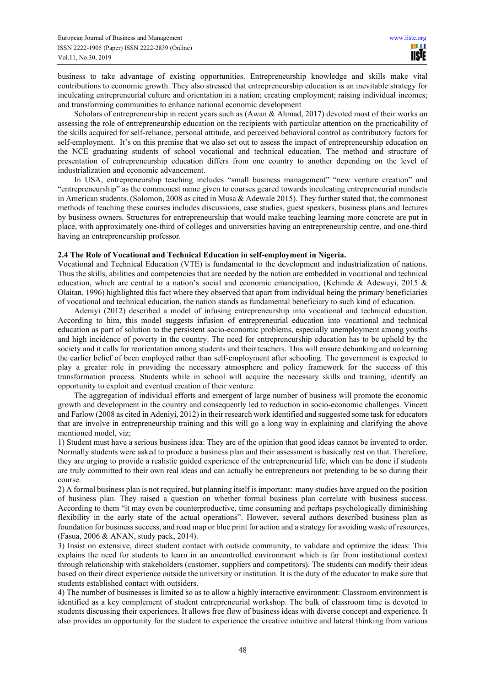business to take advantage of existing opportunities. Entrepreneurship knowledge and skills make vital contributions to economic growth. They also stressed that entrepreneurship education is an inevitable strategy for inculcating entrepreneurial culture and orientation in a nation; creating employment; raising individual incomes; and transforming communities to enhance national economic development

Scholars of entrepreneurship in recent years such as (Awan & Ahmad, 2017) devoted most of their works on assessing the role of entrepreneurship education on the recipients with particular attention on the practicability of the skills acquired for self-reliance, personal attitude, and perceived behavioral control as contributory factors for self-employment. It's on this premise that we also set out to assess the impact of entrepreneurship education on the NCE graduating students of school vocational and technical education. The method and structure of presentation of entrepreneurship education differs from one country to another depending on the level of industrialization and economic advancement.

In USA, entrepreneurship teaching includes "small business management" "new venture creation" and "entrepreneurship" as the commonest name given to courses geared towards inculcating entrepreneurial mindsets in American students. (Solomon, 2008 as cited in Musa & Adewale 2015). They further stated that, the commonest methods of teaching these courses includes discussions, case studies, guest speakers, business plans and lectures by business owners. Structures for entrepreneurship that would make teaching learning more concrete are put in place, with approximately one-third of colleges and universities having an entrepreneurship centre, and one-third having an entrepreneurship professor.

# **2.4 The Role of Vocational and Technical Education in self-employment in Nigeria.**

Vocational and Technical Education (VTE) is fundamental to the development and industrialization of nations. Thus the skills, abilities and competencies that are needed by the nation are embedded in vocational and technical education, which are central to a nation's social and economic emancipation, (Kehinde & Adewuyi, 2015 & Olaitan, 1996) highlighted this fact where they observed that apart from individual being the primary beneficiaries of vocational and technical education, the nation stands as fundamental beneficiary to such kind of education.

Adeniyi (2012) described a model of infusing entrepreneurship into vocational and technical education. According to him, this model suggests infusion of entrepreneurial education into vocational and technical education as part of solution to the persistent socio-economic problems, especially unemployment among youths and high incidence of poverty in the country. The need for entrepreneurship education has to be upheld by the society and it calls for reorientation among students and their teachers. This will ensure debunking and unlearning the earlier belief of been employed rather than self-employment after schooling. The government is expected to play a greater role in providing the necessary atmosphere and policy framework for the success of this transformation process. Students while in school will acquire the necessary skills and training, identify an opportunity to exploit and eventual creation of their venture.

The aggregation of individual efforts and emergent of large number of business will promote the economic growth and development in the country and consequently led to reduction in socio-economic challenges. Vincett and Farlow (2008 as cited in Adeniyi, 2012) in their research work identified and suggested some task for educators that are involve in entrepreneurship training and this will go a long way in explaining and clarifying the above mentioned model, viz;

1) Student must have a serious business idea: They are of the opinion that good ideas cannot be invented to order. Normally students were asked to produce a business plan and their assessment is basically rest on that. Therefore, they are urging to provide a realistic guided experience of the entrepreneurial life, which can be done if students are truly committed to their own real ideas and can actually be entrepreneurs not pretending to be so during their course.

2) A formal business plan is not required, but planning itself is important: many studies have argued on the position of business plan. They raised a question on whether formal business plan correlate with business success. According to them "it may even be counterproductive, time consuming and perhaps psychologically diminishing flexibility in the early state of the actual operations". However, several authors described business plan as foundation for business success, and road map or blue print for action and a strategy for avoiding waste of resources, (Fasua, 2006 & ANAN, study pack, 2014).

3) Insist on extensive, direct student contact with outside community, to validate and optimize the ideas: This explains the need for students to learn in an uncontrolled environment which is far from institutional context through relationship with stakeholders (customer, suppliers and competitors). The students can modify their ideas based on their direct experience outside the university or institution. It is the duty of the educator to make sure that students established contact with outsiders.

4) The number of businesses is limited so as to allow a highly interactive environment: Classroom environment is identified as a key complement of student entrepreneurial workshop. The bulk of classroom time is devoted to students discussing their experiences. It allows free flow of business ideas with diverse concept and experience. It also provides an opportunity for the student to experience the creative intuitive and lateral thinking from various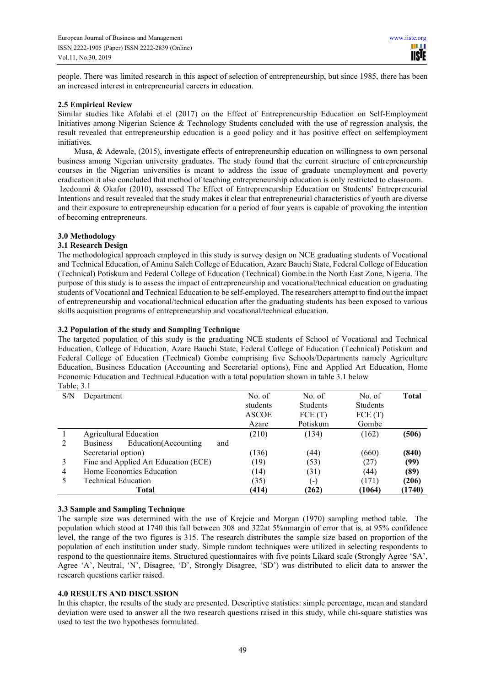people. There was limited research in this aspect of selection of entrepreneurship, but since 1985, there has been an increased interest in entrepreneurial careers in education.

#### **2.5 Empirical Review**

Similar studies like Afolabi et el (2017) on the Effect of Entrepreneurship Education on Self-Employment Initiatives among Nigerian Science & Technology Students concluded with the use of regression analysis, the result revealed that entrepreneurship education is a good policy and it has positive effect on selfemployment initiatives.

Musa, & Adewale, (2015), investigate effects of entrepreneurship education on willingness to own personal business among Nigerian university graduates. The study found that the current structure of entrepreneurship courses in the Nigerian universities is meant to address the issue of graduate unemployment and poverty eradication.it also concluded that method of teaching entrepreneurship education is only restricted to classroom. Izedonmi & Okafor (2010), assessed The Effect of Entrepreneurship Education on Students' Entrepreneurial

Intentions and result revealed that the study makes it clear that entrepreneurial characteristics of youth are diverse and their exposure to entrepreneurship education for a period of four years is capable of provoking the intention of becoming entrepreneurs.

# **3.0 Methodology**

#### **3.1 Research Design**

The methodological approach employed in this study is survey design on NCE graduating students of Vocational and Technical Education, of Aminu Saleh College of Education, Azare Bauchi State, Federal College of Education (Technical) Potiskum and Federal College of Education (Technical) Gombe.in the North East Zone, Nigeria. The purpose of this study is to assess the impact of entrepreneurship and vocational/technical education on graduating students of Vocational and Technical Education to be self-employed. The researchers attempt to find out the impact of entrepreneurship and vocational/technical education after the graduating students has been exposed to various skills acquisition programs of entrepreneurship and vocational/technical education.

# **3.2 Population of the study and Sampling Technique**

The targeted population of this study is the graduating NCE students of School of Vocational and Technical Education, College of Education, Azare Bauchi State, Federal College of Education (Technical) Potiskum and Federal College of Education (Technical) Gombe comprising five Schools/Departments namely Agriculture Education, Business Education (Accounting and Secretarial options), Fine and Applied Art Education, Home Economic Education and Technical Education with a total population shown in table 3.1 below Table; 3.1

| 1001 |                                                |          |          |                 |              |
|------|------------------------------------------------|----------|----------|-----------------|--------------|
| S/N  | Department                                     | No. of   | No. of   | No. of          | <b>Total</b> |
|      |                                                | students | Students | <b>Students</b> |              |
|      |                                                | ASCOE    | FCE(T)   | FCE(T)          |              |
|      |                                                | Azare    | Potiskum | Gombe           |              |
|      | Agricultural Education                         | (210)    | (134)    | (162)           | (506)        |
| 2    | Education(Accounting<br>and<br><b>Business</b> |          |          |                 |              |
|      | Secretarial option)                            | (136)    | (44)     | (660)           | (840)        |
|      | Fine and Applied Art Education (ECE)           | (19)     | (53)     | (27)            | (99)         |
| 4    | Home Economics Education                       | (14)     | (31)     | (44)            | (89)         |
|      | Technical Education                            | (35)     | (-)      | (171)           | (206)        |
|      | Total                                          | (414)    | (262)    | (1064)          | (1740)       |

# **3.3 Sample and Sampling Technique**

The sample size was determined with the use of Krejcie and Morgan (1970) sampling method table. The population which stood at 1740 this fall between 308 and 322at 5%nmargin of error that is, at 95% confidence level, the range of the two figures is 315. The research distributes the sample size based on proportion of the population of each institution under study. Simple random techniques were utilized in selecting respondents to respond to the questionnaire items. Structured questionnaires with five points Likard scale (Strongly Agree 'SA', Agree 'A', Neutral, 'N', Disagree, 'D', Strongly Disagree, 'SD') was distributed to elicit data to answer the research questions earlier raised.

# **4.0 RESULTS AND DISCUSSION**

In this chapter, the results of the study are presented. Descriptive statistics: simple percentage, mean and standard deviation were used to answer all the two research questions raised in this study, while chi-square statistics was used to test the two hypotheses formulated.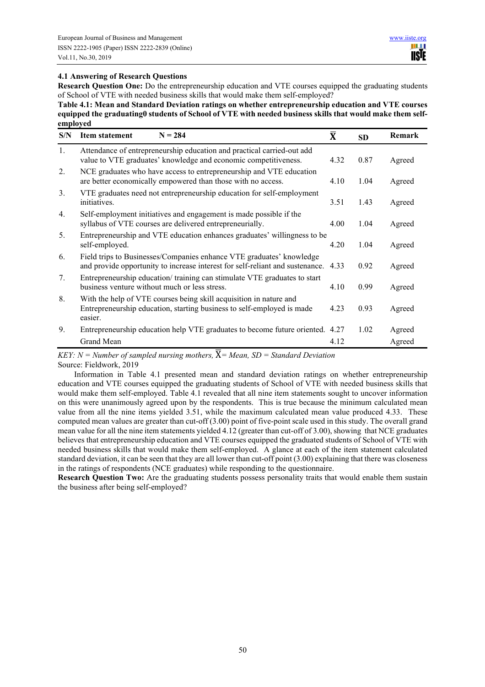# **4.1 Answering of Research Questions**

**Research Question One:** Do the entrepreneurship education and VTE courses equipped the graduating students of School of VTE with needed business skills that would make them self-employed?

**Table 4.1: Mean and Standard Deviation ratings on whether entrepreneurship education and VTE courses equipped the graduating0 students of School of VTE with needed business skills that would make them selfemployed** 

| S/N | $N = 284$<br><b>Item statement</b>                                                                                                                      | $\bar{\textbf{X}}$ | <b>SD</b> | Remark |
|-----|---------------------------------------------------------------------------------------------------------------------------------------------------------|--------------------|-----------|--------|
| 1.  | Attendance of entrepreneurship education and practical carried-out add<br>value to VTE graduates' knowledge and economic competitiveness.               | 4.32               | 0.87      | Agreed |
| 2.  | NCE graduates who have access to entrepreneurship and VTE education<br>are better economically empowered than those with no access.                     | 4.10               | 1.04      | Agreed |
| 3.  | VTE graduates need not entrepreneurship education for self-employment<br>initiatives.                                                                   | 3.51               | 1.43      | Agreed |
| 4.  | Self-employment initiatives and engagement is made possible if the<br>syllabus of VTE courses are delivered entrepreneurially.                          | 4.00               | 1.04      | Agreed |
| 5.  | Entrepreneurship and VTE education enhances graduates' willingness to be<br>self-employed.                                                              | 4.20               | 1.04      | Agreed |
| 6.  | Field trips to Businesses/Companies enhance VTE graduates' knowledge<br>and provide opportunity to increase interest for self-reliant and sustenance.   | 4.33               | 0.92      | Agreed |
| 7.  | Entrepreneurship education/training can stimulate VTE graduates to start<br>business venture without much or less stress.                               | 4.10               | 0.99      | Agreed |
| 8.  | With the help of VTE courses being skill acquisition in nature and<br>Entrepreneurship education, starting business to self-employed is made<br>easier. | 4.23               | 0.93      | Agreed |
| 9.  | Entrepreneurship education help VTE graduates to become future oriented. 4.27                                                                           |                    | 1.02      | Agreed |
|     | Grand Mean<br>$\qquad \qquad \qquad$                                                                                                                    | 4.12               |           | Agreed |

KEY:  $N =$  Number of sampled nursing mothers,  $\overline{X}$  = Mean, SD = Standard Deviation Source: Fieldwork, 2019

Information in Table 4.1 presented mean and standard deviation ratings on whether entrepreneurship education and VTE courses equipped the graduating students of School of VTE with needed business skills that would make them self-employed. Table 4.1 revealed that all nine item statements sought to uncover information on this were unanimously agreed upon by the respondents. This is true because the minimum calculated mean value from all the nine items yielded 3.51, while the maximum calculated mean value produced 4.33. These computed mean values are greater than cut-off (3.00) point of five-point scale used in this study. The overall grand mean value for all the nine item statements yielded 4.12 (greater than cut-off of 3.00), showing that NCE graduates believes that entrepreneurship education and VTE courses equipped the graduated students of School of VTE with needed business skills that would make them self-employed. A glance at each of the item statement calculated standard deviation, it can be seen that they are all lower than cut-off point (3.00) explaining that there was closeness in the ratings of respondents (NCE graduates) while responding to the questionnaire.

**Research Question Two:** Are the graduating students possess personality traits that would enable them sustain the business after being self-employed?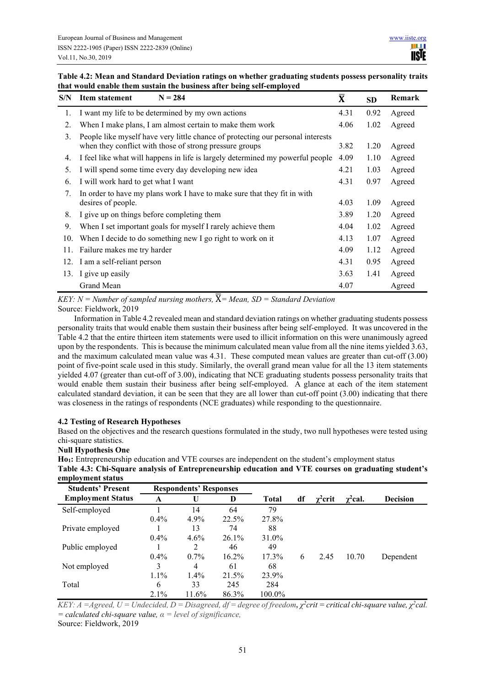# **Table 4.2: Mean and Standard Deviation ratings on whether graduating students possess personality traits that would enable them sustain the business after being self-employed**

| S/N | $N = 284$<br>Item statement                                                                                                                | $\bar{\textbf{X}}$ | <b>SD</b> | Remark |
|-----|--------------------------------------------------------------------------------------------------------------------------------------------|--------------------|-----------|--------|
| 1.  | I want my life to be determined by my own actions                                                                                          | 4.31               | 0.92      | Agreed |
| 2.  | When I make plans, I am almost certain to make them work                                                                                   | 4.06               | 1.02      | Agreed |
| 3.  | People like myself have very little chance of protecting our personal interests<br>when they conflict with those of strong pressure groups | 3.82               | 1.20      | Agreed |
| 4.  | I feel like what will happens in life is largely determined my powerful people                                                             | 4.09               | 1.10      | Agreed |
| 5.  | I will spend some time every day developing new idea                                                                                       | 4.21               | 1.03      | Agreed |
| 6.  | I will work hard to get what I want                                                                                                        | 4.31               | 0.97      | Agreed |
| 7.  | In order to have my plans work I have to make sure that they fit in with<br>desires of people.                                             | 4.03               | 1.09      | Agreed |
| 8.  | I give up on things before completing them                                                                                                 | 3.89               | 1.20      | Agreed |
| 9.  | When I set important goals for myself I rarely achieve them                                                                                | 4.04               | 1.02      | Agreed |
| 10. | When I decide to do something new I go right to work on it                                                                                 | 4.13               | 1.07      | Agreed |
| 11. | Failure makes me try harder                                                                                                                | 4.09               | 1.12      | Agreed |
|     | 12. I am a self-reliant person                                                                                                             | 4.31               | 0.95      | Agreed |
| 13. | I give up easily                                                                                                                           | 3.63               | 1.41      | Agreed |
|     | Grand Mean                                                                                                                                 | 4.07               |           | Agreed |

KEY:  $N =$  Number of sampled nursing mothers,  $\overline{X}$  = Mean, SD = Standard Deviation Source: Fieldwork, 2019

Information in Table 4.2 revealed mean and standard deviation ratings on whether graduating students possess personality traits that would enable them sustain their business after being self-employed. It was uncovered in the Table 4.2 that the entire thirteen item statements were used to illicit information on this were unanimously agreed upon by the respondents. This is because the minimum calculated mean value from all the nine items yielded 3.63, and the maximum calculated mean value was 4.31. These computed mean values are greater than cut-off (3.00) point of five-point scale used in this study. Similarly, the overall grand mean value for all the 13 item statements yielded 4.07 (greater than cut-off of 3.00), indicating that NCE graduating students possess personality traits that would enable them sustain their business after being self-employed. A glance at each of the item statement calculated standard deviation, it can be seen that they are all lower than cut-off point (3.00) indicating that there was closeness in the ratings of respondents (NCE graduates) while responding to the questionnaire.

# **4.2 Testing of Research Hypotheses**

Based on the objectives and the research questions formulated in the study, two null hypotheses were tested using chi-square statistics.

# **Null Hypothesis One**

**Ho1:** Entrepreneurship education and VTE courses are independent on the student's employment status **Table 4.3: Chi-Square analysis of Entrepreneurship education and VTE courses on graduating student's employment status** 

| <b>Students' Present</b> | <b>Respondents' Responses</b> |                |          |              |    |                 |               |                 |
|--------------------------|-------------------------------|----------------|----------|--------------|----|-----------------|---------------|-----------------|
| <b>Employment Status</b> | A                             |                | D        | <b>Total</b> | df | $\gamma^2$ crit | $\chi^2$ cal. | <b>Decision</b> |
| Self-employed            |                               | 14             | 64       | 79           |    |                 |               |                 |
|                          | $0.4\%$                       | $4.9\%$        | 22.5%    | 27.8%        |    |                 |               |                 |
| Private employed         |                               | 13             | 74       | 88           |    |                 |               |                 |
|                          | $0.4\%$                       | 4.6%           | 26.1%    | 31.0%        |    |                 |               |                 |
| Public employed          |                               | 2              | 46       | 49           |    |                 |               |                 |
|                          | $0.4\%$                       | $0.7\%$        | $16.2\%$ | $17.3\%$     | 6  | 2.45            | 10.70         | Dependent       |
| Not employed             | 3                             | $\overline{4}$ | 61       | 68           |    |                 |               |                 |
|                          | $1.1\%$                       | 1.4%           | 21.5%    | 23.9%        |    |                 |               |                 |
| Total                    | 6                             | 33             | 245      | 284          |    |                 |               |                 |
|                          | $2.1\%$                       | 11.6%          | 86.3%    | 100.0%       |    |                 |               |                 |

*KEY: A* = *Agreed, U* = *Undecided, D* = *Disagreed, df* = *degree of freedom,*  $\chi^2$ *crit* = *critical chi-square value,*  $\chi^2$ *cal. = calculated chi-square value, α = level of significance,* 

Source: Fieldwork, 2019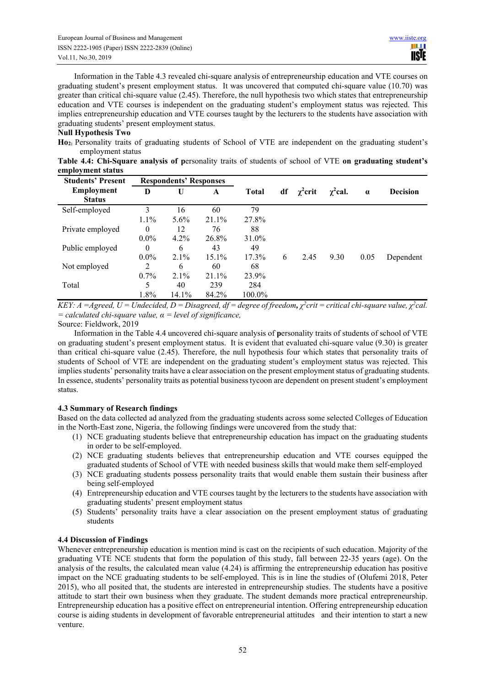Information in the Table 4.3 revealed chi-square analysis of entrepreneurship education and VTE courses on graduating student's present employment status. It was uncovered that computed chi-square value (10.70) was greater than critical chi-square value (2.45). Therefore, the null hypothesis two which states that entrepreneurship education and VTE courses is independent on the graduating student's employment status was rejected. This implies entrepreneurship education and VTE courses taught by the lecturers to the students have association with graduating students' present employment status.

#### **Null Hypothesis Two**

**Ho2:** Personality traits of graduating students of School of VTE are independent on the graduating student's employment status

**Table 4.4: Chi-Square analysis of p**ersonality traits of students of school of VTE **on graduating student's employment status** 

| <b>Students' Present</b> | <b>Respondents' Responses</b> |         |          |              |    |               |               |          |                 |
|--------------------------|-------------------------------|---------|----------|--------------|----|---------------|---------------|----------|-----------------|
| <b>Employment</b>        | D                             | U       | A        | <b>Total</b> | df | $\chi^2$ crit | $\chi^2$ cal. | $\alpha$ | <b>Decision</b> |
| <b>Status</b>            |                               |         |          |              |    |               |               |          |                 |
| Self-employed            | 3                             | 16      | 60       | 79           |    |               |               |          |                 |
|                          | $1.1\%$                       | $5.6\%$ | 21.1%    | 27.8%        |    |               |               |          |                 |
| Private employed         | $\theta$                      | 12      | 76       | 88           |    |               |               |          |                 |
|                          | $0.0\%$                       | 4.2%    | 26.8%    | 31.0%        |    |               |               |          |                 |
| Public employed          | $\theta$                      | 6       | 43       | 49           |    |               |               |          |                 |
|                          | $0.0\%$                       | $2.1\%$ | $15.1\%$ | $17.3\%$     | 6  | 2.45          | 9.30          | 0.05     | Dependent       |
| Not employed             | 2                             | 6       | 60       | 68           |    |               |               |          |                 |
|                          | $0.7\%$                       | $2.1\%$ | 21.1%    | 23.9%        |    |               |               |          |                 |
| Total                    | 5                             | 40      | 239      | 284          |    |               |               |          |                 |
|                          | 1.8%                          | 14.1%   | 84.2%    | 100.0%       |    |               |               |          |                 |

KEY: A =Agreed, U = Undecided, D = Disagreed, df = degree of freedom,  $\chi^2$ crit = critical chi-square value,  $\chi^2$ cal. *= calculated chi-square value, α = level of significance,* 

Source: Fieldwork, 2019

Information in the Table 4.4 uncovered chi-square analysis of **p**ersonality traits of students of school of VTE on graduating student's present employment status. It is evident that evaluated chi-square value (9.30) is greater than critical chi-square value (2.45). Therefore, the null hypothesis four which states that personality traits of students of School of VTE are independent on the graduating student's employment status was rejected. This implies students' personality traits have a clear association on the present employment status of graduating students. In essence, students' personality traits as potential business tycoon are dependent on present student's employment status.

# **4.3 Summary of Research findings**

Based on the data collected ad analyzed from the graduating students across some selected Colleges of Education in the North-East zone, Nigeria, the following findings were uncovered from the study that:

- (1) NCE graduating students believe that entrepreneurship education has impact on the graduating students in order to be self-employed.
- (2) NCE graduating students believes that entrepreneurship education and VTE courses equipped the graduated students of School of VTE with needed business skills that would make them self-employed
- (3) NCE graduating students possess personality traits that would enable them sustain their business after being self-employed
- (4) Entrepreneurship education and VTE courses taught by the lecturers to the students have association with graduating students' present employment status
- (5) Students' personality traits have a clear association on the present employment status of graduating students

# **4.4 Discussion of Findings**

Whenever entrepreneurship education is mention mind is cast on the recipients of such education. Majority of the graduating VTE NCE students that form the population of this study, fall between 22-35 years (age). On the analysis of the results, the calculated mean value (4.24) is affirming the entrepreneurship education has positive impact on the NCE graduating students to be self-employed. This is in line the studies of (Olufemi 2018, Peter 2015), who all posited that, the students are interested in entrepreneurship studies. The students have a positive attitude to start their own business when they graduate. The student demands more practical entrepreneurship. Entrepreneurship education has a positive effect on entrepreneurial intention. Offering entrepreneurship education course is aiding students in development of favorable entrepreneurial attitudes and their intention to start a new venture.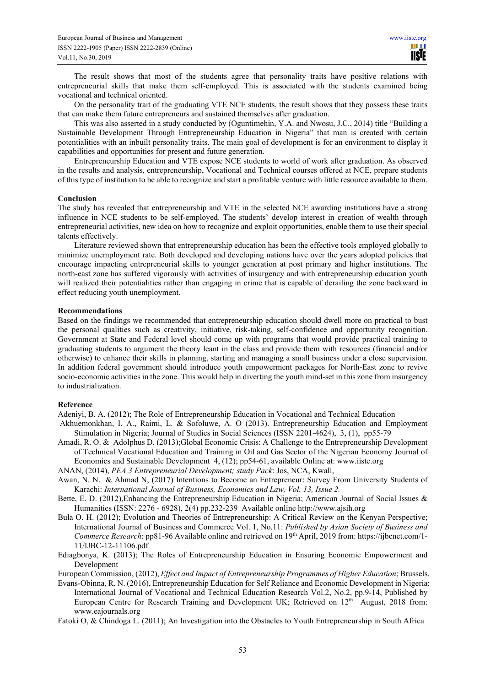The result shows that most of the students agree that personality traits have positive relations with entrepreneurial skills that make them self-employed. This is associated with the students examined being vocational and technical oriented.

On the personality trait of the graduating VTE NCE students, the result shows that they possess these traits that can make them future entrepreneurs and sustained themselves after graduation.

This was also asserted in a study conducted by (Oguntimehin, Y.A. and Nwosu, J.C., 2014) title "Building a Sustainable Development Through Entrepreneurship Education in Nigeria" that man is created with certain potentialities with an inbuilt personality traits. The main goal of development is for an environment to display it capabilities and opportunities for present and future generation.

Entrepreneurship Education and VTE expose NCE students to world of work after graduation. As observed in the results and analysis, entrepreneurship, Vocational and Technical courses offered at NCE, prepare students of this type of institution to be able to recognize and start a profitable venture with little resource available to them.

#### **Conclusion**

The study has revealed that entrepreneurship and VTE in the selected NCE awarding institutions have a strong influence in NCE students to be self-employed. The students' develop interest in creation of wealth through entrepreneurial activities, new idea on how to recognize and exploit opportunities, enable them to use their special talents effectively.

Literature reviewed shown that entrepreneurship education has been the effective tools employed globally to minimize unemployment rate. Both developed and developing nations have over the years adopted policies that encourage impacting entrepreneurial skills to younger generation at post primary and higher institutions. The north-east zone has suffered vigorously with activities of insurgency and with entrepreneurship education youth will realized their potentialities rather than engaging in crime that is capable of derailing the zone backward in effect reducing youth unemployment.

#### **Recommendations**

Based on the findings we recommended that entrepreneurship education should dwell more on practical to bust the personal qualities such as creativity, initiative, risk-taking, self-confidence and opportunity recognition. Government at State and Federal level should come up with programs that would provide practical training to graduating students to argument the theory leant in the class and provide them with resources (financial and/or otherwise) to enhance their skills in planning, starting and managing a small business under a close supervision. In addition federal government should introduce youth empowerment packages for North-East zone to revive socio-economic activities in the zone. This would help in diverting the youth mind-set in this zone from insurgency to industrialization.

#### **Reference**

Adeniyi, B. A. (2012); The Role of Entrepreneurship Education in Vocational and Technical Education

- Akhuemonkhan, I. A., Raimi, L. & Sofoluwe, A. O (2013). Entrepreneurship Education and Employment Stimulation in Nigeria; Journal of Studies in Social Sciences (ISSN 2201-4624), 3, (1), pp55-79
- Amadi, R. O. & Adolphus D. (2013);Global Economic Crisis: A Challenge to the Entrepreneurship Development of Technical Vocational Education and Training in Oil and Gas Sector of the Nigerian Economy Journal of Economics and Sustainable Development 4, (12); pp54-61, available Online at: www.iiste.org
- ANAN, (2014), *PEA 3 Entrepreneurial Development; study Pack*: Jos, NCA, Kwall,
- Awan, N. N. & Ahmad N, (2017) Intentions to Become an Entrepreneur: Survey From University Students of Karachi: *International Journal of Business, Economics and Law, Vol. 13, Issue 2.*
- Bette, E. D. (2012), Enhancing the Entrepreneurship Education in Nigeria; American Journal of Social Issues & Humanities (ISSN: 2276 - 6928), 2(4) pp.232-239 Available online http://www.ajsih.org
- Bula O. H. (2012); Evolution and Theories of Entrepreneurship: A Critical Review on the Kenyan Perspective; International Journal of Business and Commerce Vol. 1, No.11: *Published by Asian Society of Business and Commerce Research*: pp81-96 Available online and retrieved on 19th April, 2019 from: https://ijbcnet.com/1- 11/IJBC-12-11106.pdf
- Ediagbonya, K. (2013); The Roles of Entrepreneurship Education in Ensuring Economic Empowerment and Development

European Commission, (2012), *Effect and Impact of Entrepreneurship Programmes of Higher Education*; Brussels.

- Evans-Obinna, R. N. (2016), Entrepreneurship Education for Self Reliance and Economic Development in Nigeria: International Journal of Vocational and Technical Education Research Vol.2, No.2, pp.9-14, Published by European Centre for Research Training and Development UK; Retrieved on  $12<sup>th</sup>$  August, 2018 from: www.eajournals.org
- Fatoki O, & Chindoga L. (2011); An Investigation into the Obstacles to Youth Entrepreneurship in South Africa